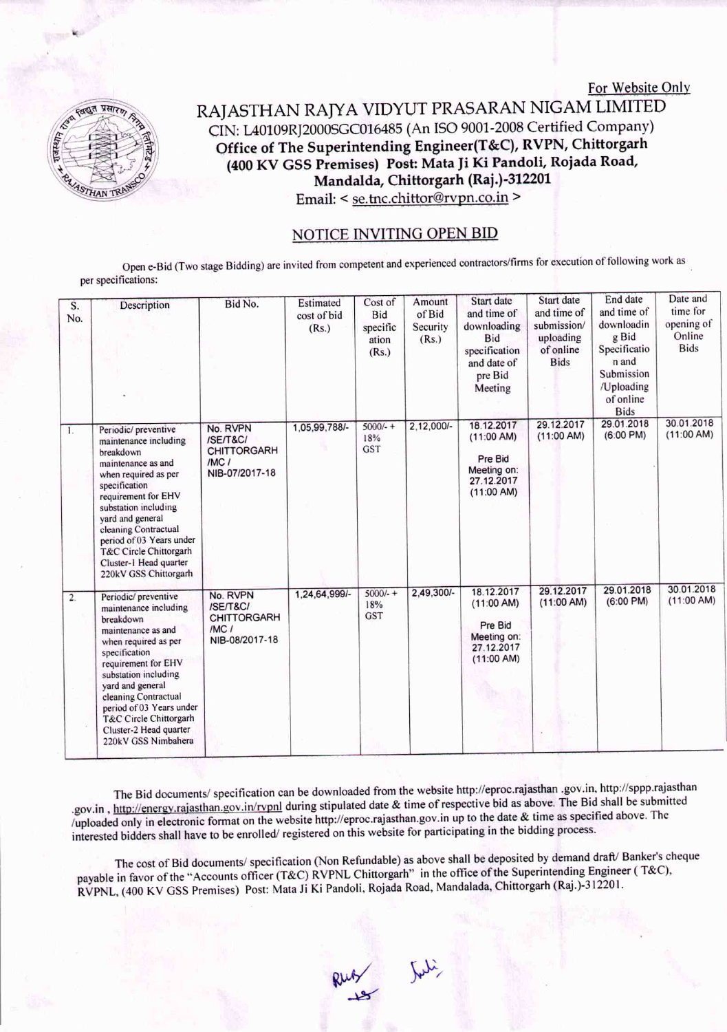

## RAJASTHAN RAJYA VIDYUT PRASARAN NIGAM LIMITED eIN: L40109RJ2000SGC016485(An ISO 9001-2008Certified Company) Office of The Superintending Engineer(T&C), RVPN, Chittorgarh (400 KV GSS Premises) Post: Mata Ji Ki Pandoli, Rojada Road, Mandalda, Chittorgarh (Raj.)-312201 Email: < se.tnc.chittor@rvpn.co.in >

For Website Only

## NOTICE INV1TING OPEN BID

Open e-Bid (Two stage Bidding) are invited from competent and experienced contractors/firms for execution of following work as per specifications:

| S.<br>No.      | Description                                                                                                                                                                                                                                                                                                                   | Bid No.                                                                            | Estimated<br>cost of bid<br>(Rs.) | Cost of<br><b>Bid</b><br>specific<br>ation<br>(Rs.) | Amount<br>of Bid<br>Security<br>(Rs.) | Start date<br>and time of<br>downloading<br><b>Bid</b><br>specification<br>and date of<br>pre Bid<br>Meeting | Start date<br>and time of<br>submission/<br>uploading<br>of online<br><b>Bids</b> | End date<br>and time of<br>downloadin<br>g Bid<br>Specificatio<br>n and<br>Submission<br>/Uploading<br>of online<br><b>Bids</b> | Date and<br>time for<br>opening of<br>Online<br><b>Bids</b> |
|----------------|-------------------------------------------------------------------------------------------------------------------------------------------------------------------------------------------------------------------------------------------------------------------------------------------------------------------------------|------------------------------------------------------------------------------------|-----------------------------------|-----------------------------------------------------|---------------------------------------|--------------------------------------------------------------------------------------------------------------|-----------------------------------------------------------------------------------|---------------------------------------------------------------------------------------------------------------------------------|-------------------------------------------------------------|
| $\mathbf{1}$ . | Periodic/ preventive<br>maintenance including<br>breakdown<br>maintenance as and<br>when required as per<br>specification<br>requirement for EHV<br>substation including<br>vard and general<br>cleaning Contractual<br>period of 03 Years under<br>T&C Circle Chittorgarh<br>Cluster-1 Head quarter<br>220kV GSS Chittorgarh | No. RVPN<br>/SE/T&C/<br><b>CHITTORGARH</b><br>$/MC$ /<br>NIB-07/2017-18            | 1,05,99,788/-                     | $5000/-$ +<br>18%<br><b>GST</b>                     | $2,12,000/-$                          | 18.12.2017<br>(11:00 AM)<br>Pre Bid<br>Meeting on:<br>27.12.2017<br>(11:00 AM)                               | 29.12.2017<br>(11:00 AM)                                                          | 29.01.2018<br>$(6:00 \text{ PM})$                                                                                               | 30.01.2018<br>(11:00 AM)                                    |
| 2.             | Periodic/ preventive<br>maintenance including<br>breakdown<br>maintenance as and<br>when required as per<br>specification<br>requirement for EHV<br>substation including<br>vard and general<br>cleaning Contractual<br>period of 03 Years under<br>T&C Circle Chittorgarh<br>Cluster-2 Head quarter<br>220kV GSS Nimbahera   | No. RVPN<br><b>ISE/T&amp;C/</b><br><b>CHITTORGARH</b><br>$/MC$ /<br>NIB-08/2017-18 | 1,24,64,999/-                     | $5000/- +$<br>18%<br><b>GST</b>                     | 2,49,300/-                            | 18.12.2017<br>(11:00 AM)<br>Pre Bid<br>Meeting on:<br>27.12.2017<br>(11:00 AM)                               | 29.12.2017<br>(11:00 AM)                                                          | 29.01.2018<br>$(6:00 \text{ PM})$                                                                                               | 30.01.2018<br>(11:00 AM)                                    |

The Bid documents/ specification can be downloaded from the website http://eproc.rajasthan .gov.in, http://sppp.rajasthan .gov.in, http://energy.rajasthan.gov.in/rvpnl during stipulated date & time of respective bid as above. The Bid shall be submitted /uploaded only in electronic format on the website http://eproc.rajasthan.gov.in up to the date & time as specified above. The interested bidders shall have to be enrolled/ registered on this website for participating in the bidding process.

The cost of Bid documents/ specification (Non Refundable) as above shall be deposited by demand draft/ Banker's cheque payable in favor of the "Accounts officer (T&C) RVPNL Chittorgarh" in the office of the Superintending Engineer (T&C), RVPNL, (400 KV GSS Premises) Post: Mara Ji Ki Pandoli, Rojada Road, Mandalada, Chittorgarh (Raj.)-312201.